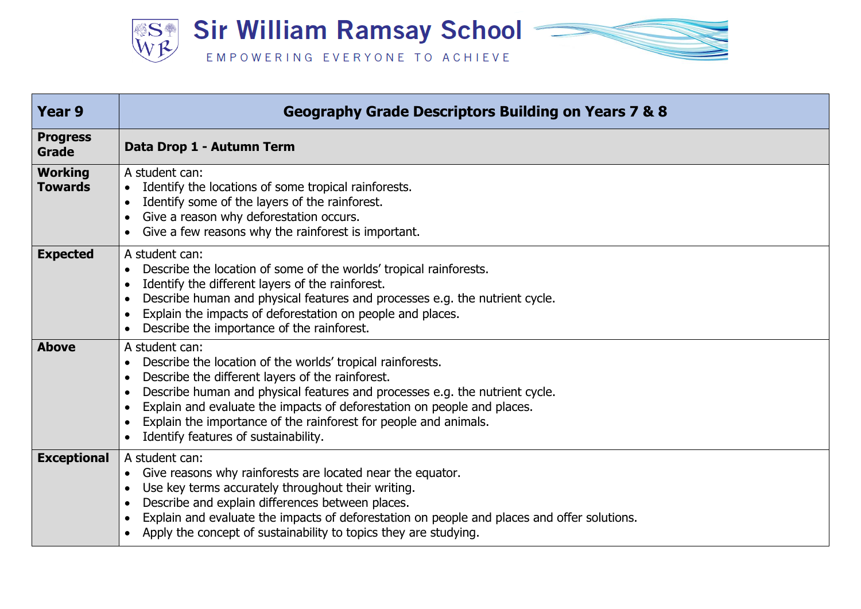

| <b>Year 9</b>                    | <b>Geography Grade Descriptors Building on Years 7 &amp; 8</b>                                                                                                                                                                                                                                                                                                                                                      |
|----------------------------------|---------------------------------------------------------------------------------------------------------------------------------------------------------------------------------------------------------------------------------------------------------------------------------------------------------------------------------------------------------------------------------------------------------------------|
| <b>Progress</b><br><b>Grade</b>  | Data Drop 1 - Autumn Term                                                                                                                                                                                                                                                                                                                                                                                           |
| <b>Working</b><br><b>Towards</b> | A student can:<br>Identify the locations of some tropical rainforests.<br>Identify some of the layers of the rainforest.<br>Give a reason why deforestation occurs.<br>Give a few reasons why the rainforest is important.                                                                                                                                                                                          |
| <b>Expected</b>                  | A student can:<br>Describe the location of some of the worlds' tropical rainforests.<br>Identify the different layers of the rainforest.<br>Describe human and physical features and processes e.g. the nutrient cycle.<br>Explain the impacts of deforestation on people and places.<br>$\bullet$<br>Describe the importance of the rainforest.                                                                    |
| <b>Above</b>                     | A student can:<br>Describe the location of the worlds' tropical rainforests.<br>$\bullet$<br>Describe the different layers of the rainforest.<br>Describe human and physical features and processes e.g. the nutrient cycle.<br>Explain and evaluate the impacts of deforestation on people and places.<br>Explain the importance of the rainforest for people and animals.<br>Identify features of sustainability. |
| <b>Exceptional</b>               | A student can:<br>Give reasons why rainforests are located near the equator.<br>Use key terms accurately throughout their writing.<br>$\bullet$<br>Describe and explain differences between places.<br>Explain and evaluate the impacts of deforestation on people and places and offer solutions.<br>Apply the concept of sustainability to topics they are studying.                                              |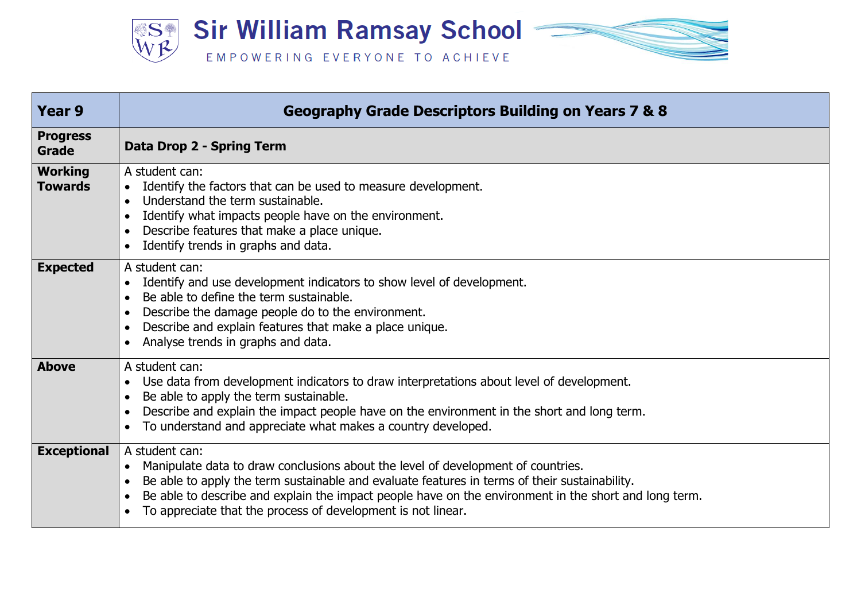

| Year 9                           | <b>Geography Grade Descriptors Building on Years 7 &amp; 8</b>                                                                                                                                                                                                                                                                                                               |
|----------------------------------|------------------------------------------------------------------------------------------------------------------------------------------------------------------------------------------------------------------------------------------------------------------------------------------------------------------------------------------------------------------------------|
| <b>Progress</b><br><b>Grade</b>  | Data Drop 2 - Spring Term                                                                                                                                                                                                                                                                                                                                                    |
| <b>Working</b><br><b>Towards</b> | A student can:<br>Identify the factors that can be used to measure development.<br>$\bullet$<br>Understand the term sustainable.<br>$\bullet$<br>Identify what impacts people have on the environment.<br>Describe features that make a place unique.<br>Identify trends in graphs and data.                                                                                 |
| <b>Expected</b>                  | A student can:<br>Identify and use development indicators to show level of development.<br>$\bullet$<br>Be able to define the term sustainable.<br>Describe the damage people do to the environment.<br>Describe and explain features that make a place unique.<br>Analyse trends in graphs and data.                                                                        |
| <b>Above</b>                     | A student can:<br>Use data from development indicators to draw interpretations about level of development.<br>Be able to apply the term sustainable.<br>Describe and explain the impact people have on the environment in the short and long term.<br>To understand and appreciate what makes a country developed.                                                           |
| <b>Exceptional</b>               | A student can:<br>Manipulate data to draw conclusions about the level of development of countries.<br>Be able to apply the term sustainable and evaluate features in terms of their sustainability.<br>Be able to describe and explain the impact people have on the environment in the short and long term.<br>To appreciate that the process of development is not linear. |